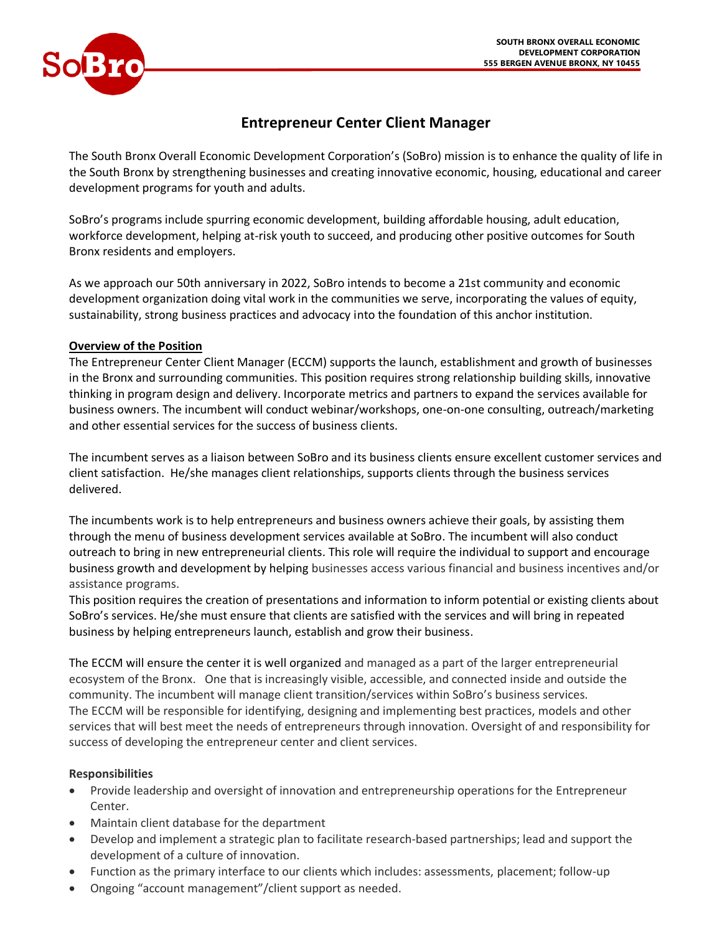

# **Entrepreneur Center Client Manager**

The South Bronx Overall Economic Development Corporation's (SoBro) mission is to enhance the quality of life in the South Bronx by strengthening businesses and creating innovative economic, housing, educational and career development programs for youth and adults.

SoBro's programs include spurring economic development, building affordable housing, adult education, workforce development, helping at-risk youth to succeed, and producing other positive outcomes for South Bronx residents and employers.

As we approach our 50th anniversary in 2022, SoBro intends to become a 21st community and economic development organization doing vital work in the communities we serve, incorporating the values of equity, sustainability, strong business practices and advocacy into the foundation of this anchor institution.

### **Overview of the Position**

The Entrepreneur Center Client Manager (ECCM) supports the launch, establishment and growth of businesses in the Bronx and surrounding communities. This position requires strong relationship building skills, innovative thinking in program design and delivery. Incorporate metrics and partners to expand the services available for business owners. The incumbent will conduct webinar/workshops, one-on-one consulting, outreach/marketing and other essential services for the success of business clients.

The incumbent serves as a liaison between SoBro and its business clients ensure excellent customer services and client satisfaction. He/she manages client relationships, supports clients through the business services delivered.

The incumbents work is to help entrepreneurs and business owners achieve their goals, by assisting them through the menu of business development services available at SoBro. The incumbent will also conduct outreach to bring in new entrepreneurial clients. This role will require the individual to support and encourage business growth and development by helping businesses access various financial and business incentives and/or assistance programs.

This position requires the creation of presentations and information to inform potential or existing clients about SoBro's services. He/she must ensure that clients are satisfied with the services and will bring in repeated business by helping entrepreneurs launch, establish and grow their business.

The ECCM will ensure the center it is well organized and managed as a part of the larger entrepreneurial ecosystem of the Bronx. One that is increasingly visible, accessible, and connected inside and outside the community. The incumbent will manage client transition/services within SoBro's business services. The ECCM will be responsible for identifying, designing and implementing best practices, models and other services that will best meet the needs of entrepreneurs through innovation. Oversight of and responsibility for success of developing the entrepreneur center and client services.

## **Responsibilities**

- Provide leadership and oversight of innovation and entrepreneurship operations for the Entrepreneur Center.
- Maintain client database for the department
- Develop and implement a strategic plan to facilitate research-based partnerships; lead and support the development of a culture of innovation.
- Function as the primary interface to our clients which includes: assessments, placement; follow-up
- Ongoing "account management"/client support as needed.